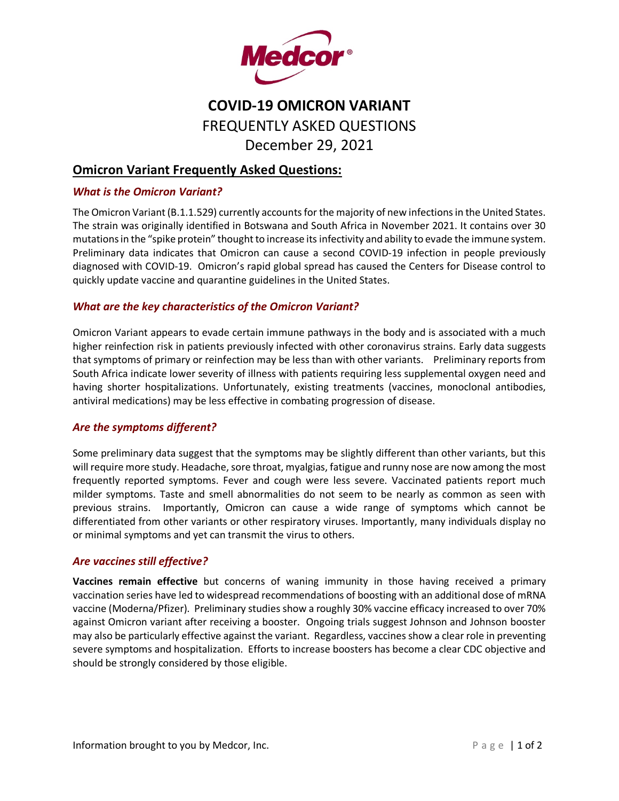

# **COVID-19 OMICRON VARIANT** FREQUENTLY ASKED QUESTIONS December 29, 2021

# **Omicron Variant Frequently Asked Questions:**

#### *What is the Omicron Variant?*

The Omicron Variant (B.1.1.529) currently accounts for the majority of new infections in the United States. The strain was originally identified in Botswana and South Africa in November 2021. It contains over 30 mutations in the "spike protein" thought to increase its infectivity and ability to evade the immune system. Preliminary data indicates that Omicron can cause a second COVID-19 infection in people previously diagnosed with COVID-19. Omicron's rapid global spread has caused the Centers for Disease control to quickly update vaccine and quarantine guidelines in the United States.

### *What are the key characteristics of the Omicron Variant?*

Omicron Variant appears to evade certain immune pathways in the body and is associated with a much higher reinfection risk in patients previously infected with other coronavirus strains. Early data suggests that symptoms of primary or reinfection may be less than with other variants. Preliminary reports from South Africa indicate lower severity of illness with patients requiring less supplemental oxygen need and having shorter hospitalizations. Unfortunately, existing treatments (vaccines, monoclonal antibodies, antiviral medications) may be less effective in combating progression of disease.

#### *Are the symptoms different?*

Some preliminary data suggest that the symptoms may be slightly different than other variants, but this will require more study. Headache, sore throat, myalgias, fatigue and runny nose are now among the most frequently reported symptoms. Fever and cough were less severe. Vaccinated patients report much milder symptoms. Taste and smell abnormalities do not seem to be nearly as common as seen with previous strains. Importantly, Omicron can cause a wide range of symptoms which cannot be differentiated from other variants or other respiratory viruses. Importantly, many individuals display no or minimal symptoms and yet can transmit the virus to others.

#### *Are vaccines still effective?*

**Vaccines remain effective** but concerns of waning immunity in those having received a primary vaccination series have led to widespread recommendations of boosting with an additional dose of mRNA vaccine (Moderna/Pfizer). Preliminary studies show a roughly 30% vaccine efficacy increased to over 70% against Omicron variant after receiving a booster. Ongoing trials suggest Johnson and Johnson booster may also be particularly effective against the variant. Regardless, vaccines show a clear role in preventing severe symptoms and hospitalization. Efforts to increase boosters has become a clear CDC objective and should be strongly considered by those eligible.